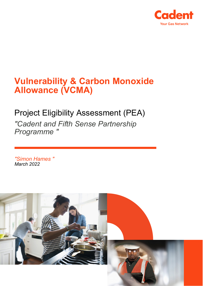

# **Vulnerability & Carbon Monoxide Allowance (VCMA)**

# Project Eligibility Assessment (PEA) *"Cadent and Fifth Sense Partnership*   $Programme$

*"Simon Hames " March 2022*

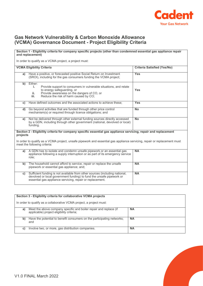

# **Gas Network Vulnerability & Carbon Monoxide Allowance (VCMA) Governance Document - Project Eligibility Criteria**

### **Section 1 - Eligibility criteria for company specific projects (other than condemned essential gas appliance repair and replacement)**

In order to qualify as a VCMA project, a project must:

|                                                                                                                             | <b>VCMA Eligibility Criteria</b>                                                                                                                                                                                       | <b>Criteria Satisfied (Yes/No)</b> |  |  |  |  |  |
|-----------------------------------------------------------------------------------------------------------------------------|------------------------------------------------------------------------------------------------------------------------------------------------------------------------------------------------------------------------|------------------------------------|--|--|--|--|--|
| a)                                                                                                                          | Have a positive, or forecasted positive Social Return on Investment<br>(SROI), including for the gas consumers funding the VCMA project;                                                                               | <b>Yes</b>                         |  |  |  |  |  |
| b)                                                                                                                          | Either:<br>Provide support to consumers in vulnerable situations, and relate<br>ι.<br>to energy safeguarding, or<br>Provide awareness on the dangers of CO, or<br>ii.<br>iii.<br>Reduce the risk of harm caused by CO; | <b>Yes</b>                         |  |  |  |  |  |
| C)                                                                                                                          | Have defined outcomes and the associated actions to achieve these;<br><b>Yes</b>                                                                                                                                       |                                    |  |  |  |  |  |
| d)                                                                                                                          | Go beyond activities that are funded through other price control<br><b>No</b><br>mechanism(s) or required through licence obligations; and                                                                             |                                    |  |  |  |  |  |
| e)                                                                                                                          | Not be delivered through other external funding sources directly accessed<br><b>No</b><br>by a GDN, including through other government (national, devolved or local)<br>funding.                                       |                                    |  |  |  |  |  |
| Section 2 - Eligibility criteria for company specific essential gas appliance servicing, repair and replacement<br>projects |                                                                                                                                                                                                                        |                                    |  |  |  |  |  |
|                                                                                                                             | In order to qualify as a VCMA project, unsafe pipework and essential gas appliance servicing, repair or replacement must<br>meet the following criteria:                                                               |                                    |  |  |  |  |  |
| a)                                                                                                                          | A GDN has to isolate and condemn unsafe pinework or an essential das                                                                                                                                                   | NΔ                                 |  |  |  |  |  |

| a) | A GDN has to isolate and condemn unsafe pipework or an essential gas<br>appliance following a supply interruption or as part of its emergency service<br>role:                                                   | <b>NA</b> |
|----|------------------------------------------------------------------------------------------------------------------------------------------------------------------------------------------------------------------|-----------|
|    | The household cannot afford to service, repair or replace the unsafe<br>pipework or essential gas appliance; and;                                                                                                | ΝA        |
| C) | Sufficient funding is not available from other sources (including national,<br>devolved or local government funding) to fund the unsafe pipework or<br>essential gas appliance servicing, repair or replacement. | ΝA        |

|    | Section 3 - Eligibility criteria for collaborative VCMA projects       |           |
|----|------------------------------------------------------------------------|-----------|
|    |                                                                        |           |
|    | In order to qualify as a collaborative VCMA project, a project must:   |           |
|    |                                                                        |           |
|    |                                                                        |           |
| a) | Meet the above company specific and boiler repair and replace (if      | <b>NA</b> |
|    | applicable) project eligibility criteria;                              |           |
|    |                                                                        |           |
| b) | Have the potential to benefit consumers on the participating networks; | <b>NA</b> |
|    | and                                                                    |           |
|    |                                                                        |           |
|    |                                                                        |           |
| C) | Involve two, or more, gas distribution companies.                      | <b>NA</b> |
|    |                                                                        |           |

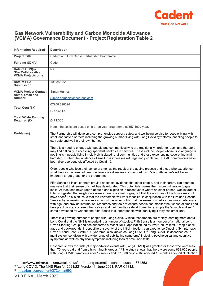

# **Gas Network Vulnerability and Carbon Monoxide Allowance (VCMA) Governance Document - Project Registration Table 2**

| <b>Information Required</b>                                              | <b>Description</b>                                                                                                                                                                                                                                                                                                                                                                                                                                                                                                                                                                                                                                                                                                                                                                                                                                                                                                                                                                                                                   |
|--------------------------------------------------------------------------|--------------------------------------------------------------------------------------------------------------------------------------------------------------------------------------------------------------------------------------------------------------------------------------------------------------------------------------------------------------------------------------------------------------------------------------------------------------------------------------------------------------------------------------------------------------------------------------------------------------------------------------------------------------------------------------------------------------------------------------------------------------------------------------------------------------------------------------------------------------------------------------------------------------------------------------------------------------------------------------------------------------------------------------|
| <b>Project Title</b>                                                     | Cadent and Fifth Sense Partnership Programme                                                                                                                                                                                                                                                                                                                                                                                                                                                                                                                                                                                                                                                                                                                                                                                                                                                                                                                                                                                         |
| <b>Funding GDN(s)</b>                                                    | Cadent                                                                                                                                                                                                                                                                                                                                                                                                                                                                                                                                                                                                                                                                                                                                                                                                                                                                                                                                                                                                                               |
| Role of GDN(s)<br><b>*For Collaborative</b><br><b>VCMA Projects only</b> | <b>NA</b>                                                                                                                                                                                                                                                                                                                                                                                                                                                                                                                                                                                                                                                                                                                                                                                                                                                                                                                                                                                                                            |
| <b>Date of PEA</b><br><b>Submission</b>                                  | 10/03/2022                                                                                                                                                                                                                                                                                                                                                                                                                                                                                                                                                                                                                                                                                                                                                                                                                                                                                                                                                                                                                           |
| <b>VCMA Project Contact</b><br>Name, email and<br><b>Number</b>          | Simon Hames<br>Simon.hames@cadentgas.com<br>07908 898094                                                                                                                                                                                                                                                                                                                                                                                                                                                                                                                                                                                                                                                                                                                                                                                                                                                                                                                                                                             |
| <b>Total Cost (£k)</b>                                                   | £745,661.48                                                                                                                                                                                                                                                                                                                                                                                                                                                                                                                                                                                                                                                                                                                                                                                                                                                                                                                                                                                                                          |
| <b>Total VCMA Funding</b><br><b>Required (£k)</b>                        | £471,300                                                                                                                                                                                                                                                                                                                                                                                                                                                                                                                                                                                                                                                                                                                                                                                                                                                                                                                                                                                                                             |
|                                                                          | Note: the costs are based on a three year programme at 157,100 / year.                                                                                                                                                                                                                                                                                                                                                                                                                                                                                                                                                                                                                                                                                                                                                                                                                                                                                                                                                               |
| Problem(s)                                                               | The Partnership will develop a comprehensive support, safety and wellbeing service for people living with<br>smell and taste disorders including the growing number living with Long Covid symptoms, enabling people to<br>stay safe and well in their own homes.                                                                                                                                                                                                                                                                                                                                                                                                                                                                                                                                                                                                                                                                                                                                                                    |
|                                                                          | There is a need to engage with people and communities who are traditionally harder to reach and therefore<br>may find difficulty in accessing specialist health care services. These include people whose first language is<br>not English, people living in relatively isolated rural communities and those experiencing severe financial<br>hardship. Further, the incidence of smell loss increases with age and people from BAME communities have<br>been disproportionately affected by Covid-19.                                                                                                                                                                                                                                                                                                                                                                                                                                                                                                                               |
|                                                                          | Older people who lose their sense of smell as the result of the ageing process and those who experience<br>smell loss as the result of neurodegenerative diseases such as Parkinson's and Alzhemer's will be an<br>important target group for the programme.                                                                                                                                                                                                                                                                                                                                                                                                                                                                                                                                                                                                                                                                                                                                                                         |
|                                                                          | Fifth Sense's clinical partners provide anecdotal evidence that older people, and their carers, can often be<br>unaware that their sense of smell has deteriorated. This potentially makes them more vulnerable to gas<br>leaks. At least one news report about a gas explosion in recent years where an older person was injured or<br>killed suggested that neighbours were aware of a smell of gas, but that the occupant of the house may not<br>have been <sup>1</sup> This is an issue that the Partnership will work to tackle, in conjunction with the Fire and Rescue<br>Service, by increasing awareness amongst the wider public that the sense of smell can naturally deteriorate<br>with age, and provide information, resources and tools to ensure people can monitor their sense of smell and<br>take practical steps to keep themselves and their families safe at home, for example the 'scratch and sniff'<br>cards developed by Cadent and Fifth Sense to support people with identifying if they can smell gas. |
|                                                                          | There is a growing number of people with Long Covid. Clinical researchers are rapidly learning more about<br>Long Covid and the NHS is undertaking a number of studies. Fifth Sense is a member of a national Long<br>Covid Steering Group and has supported a recent NIHR application led by Prof Carl Philpott. "People of all<br>ages and backgrounds, irrespective of severity of the initial infection, can experience Ongoing Symptomatic<br>Covid-19 and Post COVID-19 Syndrome, also known as Long COVID." <sup>2</sup> Long COVID is described as "a<br>multi-system condition with a wide range of debilitating symptoms" including psychological and cognitive<br>symptoms as well as physical symptoms including loss of smell and taste.                                                                                                                                                                                                                                                                                |
|                                                                          | Research shows the "risk [of major adverse events with Long-COVID] was greater for those who were less<br>than 70 years old and from ethnic minority groups." $3$ The study shows that there were some 862,000 people<br>with Long-COVID symptoms after 12 weeks and 321,000 people still affected 12 months after initial infection                                                                                                                                                                                                                                                                                                                                                                                                                                                                                                                                                                                                                                                                                                 |

<span id="page-2-0"></span><sup>1</sup> .https://www.mirror.co.uk/news/uk-news/there-bang-dramatic-scenes-house-11674353

<span id="page-2-1"></span><sup>2</sup> "Long COVID: The NHS Plan for 2021/22" Version 1, June 2021, PAR C1312.

<span id="page-2-2"></span><sup>3</sup> <http://bmj.com/content/372bmj.n693>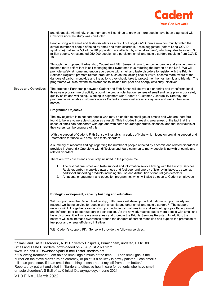

|                             | and diagnosis. Alarmingly, these numbers will continue to grow as more people have been diagnosed with<br>Covid-19 since the study was conducted.                                                                                                                                                                                                                                                                                                                                                                                                                                                                                                                                                                                    |  |  |  |  |
|-----------------------------|--------------------------------------------------------------------------------------------------------------------------------------------------------------------------------------------------------------------------------------------------------------------------------------------------------------------------------------------------------------------------------------------------------------------------------------------------------------------------------------------------------------------------------------------------------------------------------------------------------------------------------------------------------------------------------------------------------------------------------------|--|--|--|--|
|                             | People living with smell and taste disorders as a result of Long-COVID form a new community within the<br>overall number of people affected by smell and taste disorders. It was suggested (before Long-COVID<br>syndrome) that some 5% of the UK population are affected by smell disorders <sup>4</sup> , which equates to around 3<br>million people. An estimated 250,000 people have persistent smell and taste disorders resulting from COVID-<br>19.                                                                                                                                                                                                                                                                          |  |  |  |  |
|                             | Through the proposed Partnership, Cadent and Fifth Sense will aim to empower people and enable them to<br>become more self-reliant in self-managing their symptoms thus reducing the burden on the NHS. We will<br>promote safety at home and encourage people with smell and taste disorders to register with the Priority<br>Services Register, promote related products such as the locking cooker valve, become more aware of the<br>dangers of carbon monoxide and the actions they should take to protect their homes, family and friends. The<br>programme will also extend its awareness to include fuel poor and energy efficiency initiatives.                                                                             |  |  |  |  |
| <b>Scope and Objectives</b> | The proposed Partnership between Cadent and Fifth Sense will deliver a pioneering and transformational<br>three year programme of activity around the crucial role that our senses of smell and taste play in our safety,<br>quality of life and wellbeing. Working in alignment with Cadent's Customer Vulnerability Strategy, the<br>programme will enable customers across Cadent's operational areas to stay safe and well in their own<br>homes.                                                                                                                                                                                                                                                                                |  |  |  |  |
|                             | <b>Programme Objective</b>                                                                                                                                                                                                                                                                                                                                                                                                                                                                                                                                                                                                                                                                                                           |  |  |  |  |
|                             | The key objective is to support people who may be unable to smell gas or smoke and who are therefore<br>found to be in a vulnerable situation as a result. This includes increasing awareness of the fact that the<br>sense of smell can deteriorate with age and with some neurodegenerative diseases, and that individuals or<br>their carers can be unaware of this.                                                                                                                                                                                                                                                                                                                                                              |  |  |  |  |
|                             | With the support of Cadent, Fifth Sense will establish a series of Hubs which focus on providing support and<br>information for those with smell and taste disorders.                                                                                                                                                                                                                                                                                                                                                                                                                                                                                                                                                                |  |  |  |  |
|                             | A summary of research findings regarding the number of people affected by anosmia and related disorders is<br>provided in Appendix One along with difficulties and fears common to many people living with anosmia and<br>related disorders.                                                                                                                                                                                                                                                                                                                                                                                                                                                                                         |  |  |  |  |
|                             | There are two core strands of activity included in the programme                                                                                                                                                                                                                                                                                                                                                                                                                                                                                                                                                                                                                                                                     |  |  |  |  |
|                             | The first national smell and taste support and information service linking with the Priority Services<br>1.<br>Register, carbon monoxide awareness and fuel poor and energy efficiency initiatives, as well as<br>additional supporting products including the use and distribution of natural gas detectors<br>2. A national engagement and education programme, which will also be open to Cadent employees                                                                                                                                                                                                                                                                                                                        |  |  |  |  |
|                             | Strategic development, capacity building and education                                                                                                                                                                                                                                                                                                                                                                                                                                                                                                                                                                                                                                                                               |  |  |  |  |
|                             | With support from the Cadent Partnership, Fifth Sense will develop the first national support, safety and<br>national wellbeing service for people with anosmia and other smell and taste disorders <sup>5</sup> . The support<br>network will link together a range of support including virtual meetings and self-help groups offering formal<br>and informal peer to peer support in each region. As the network reaches out to more people with smell and<br>taste disorders, it will increase awareness and promote the Priority Services Register. In addition, the<br>network will also increase awareness around the dangers of carbon monoxide and support the promotion of<br>fuel poor and energy efficiency initiatives. |  |  |  |  |
|                             | With Cadent's support, Fifth Sense will provide the following services:                                                                                                                                                                                                                                                                                                                                                                                                                                                                                                                                                                                                                                                              |  |  |  |  |

<span id="page-3-0"></span><sup>4</sup> "Smell and Taste Disorders", NHS University Hospitals, Birmingham, undated, P118\_03 Smell and Taste Disorders, downloaded on 23 August 2021 from

www.uhb.nhs.uk/Downloads/pdf/PiSmellTasteDisorders.pdf

<span id="page-3-1"></span><sup>3</sup> "Following treatment, I am able to smell again much of the time …. I can smell gas, if the burner on the stove didn't turn on correctly, or paint, if a hallway is newly painted. I can smell if milk has gone sour. If I can smell these things I can protect myself from them better." Reported by patient and cited in "Barriers to effective health care for patients who have smell or taste disorders", S Ball *et al*, Clinical Otolaryngology, 4 June 2021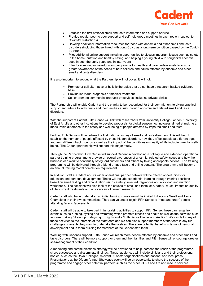

| Establish the first national smell and taste information and support service<br>$\bullet$<br>Provide regular peer to peer support and self-help group meetings in each region (subject to<br>Covid-19 restrictions)<br>Develop additional information resources for those with anosmia and other smell and taste<br>$\bullet$<br>disorders (including those linked with Long Covid as a long-term condition caused by the Covid-<br>19 virus)<br>Pilot additional online support including opportunities to discuss important issues such as safety<br>$\bullet$<br>in the home, nutrition and healthy eating, and helping a young child with congenital anosmia<br>cope in both the early years and in later years<br>Introduce an innovative education programme for health and care professionals to ensure<br>greater awareness of the needs of both children and adults affected by anosmia and other<br>smell and taste disorders.<br>It is also important to set out what the Partnership will not cover. It will not:<br>• Promote or sell alternative or holistic therapies that do not have a research-backed evidence<br>base<br>Provide individual diagnosis or medical treatment<br>Sell or promote commercial products or services, including private clinics<br>The Partnership will enable Cadent and the charity to be recognised for their commitment to giving practical<br>support and advice to individuals and their families at risk through anosmia and related smell and taste<br>disorders.<br>With the support of Cadent, Fifth Sense will link with researchers from University College London, University<br>of East Anglia and other institutions to develop proposals for digital sensory technologies aimed at making a<br>measurable difference to the safety and well-being of people affected by impaired smell and taste.<br>Further, Fifth Sense will undertake the first national survey of smell and taste disorders. This will help to<br>establish the number of people affected by these hidden disorders, how they affect people at different ages<br>and from different backgrounds as well as the impact of the conditions on quality of life including mental well-<br>being. The Cadent partnership will support this major study.<br>Through the Partnership, Fifth Sense will support Cadent in developing a colleague and extended operational<br>partner training programme to provide an overall awareness of anosmia, related safety issues and how the<br>business can work to continually safeguard customers and others by taking appropriate actions. The training<br>programme will be delivered through a blend or face-face and online content. The programme will become<br>an annual training model completion requirement.<br>In addition, staff at Cadent and its wider operational partner network will be offered opportunities for<br>education and personal development. These will include experiential learning through training sessions<br>based on smell testing and rehabilitation using carefully selected fragrances and also food and nutrition<br>workshops. The sessions will also look at the causes of smell and taste loss, safety issues, impact on quality<br>of life, current treatments and an overview of current research.<br>Cadent staff who have undertaken an initial training course would be invited to become Smell and Taste<br>Champions in their own communities. They can volunteer to join Fifth Sense to 'meet and greet' people<br>attending face to face events.<br>Cadent staff will be able to take part in fundraising activities to support Fifth Sense; these can range from<br>events such as running, cycling and swimming which promote fitness and health as well as fun activities such<br>as cake making, 'dress up Fridays', quiz nights and a 'Fifth Sense Dinner and Auction'. We can tailor any of<br>these activities to the interests of the staff team and we can also support members of the team in any fun<br>challenges or events they want to undertake themselves. There are potential benefits in terms of personal<br>development and in team building for members of the Cadent staff team.<br>Working with Cadent's support, Fifth Sense will reach more people affected by anosmia and other smell and<br>taste disorders. There will be more support for them and their families and Fifth Sense will encourage greater<br>self-management of their condition.<br>A marketing and communications strategy will be developed to help increase the reach of the programme,<br>share successes and disseminate findings. Target audiences will include clinicians and their professional<br>bodies, such as the Royal Colleges, relevant 3 <sup>rd</sup> sector organisations and national and local press.<br>Presentations at the Ofgem Annual Showcase event will be an opportunity to share the success of the<br>programme and engage other potential partners such as the other GDNs and fire and rescue services. |  |
|------------------------------------------------------------------------------------------------------------------------------------------------------------------------------------------------------------------------------------------------------------------------------------------------------------------------------------------------------------------------------------------------------------------------------------------------------------------------------------------------------------------------------------------------------------------------------------------------------------------------------------------------------------------------------------------------------------------------------------------------------------------------------------------------------------------------------------------------------------------------------------------------------------------------------------------------------------------------------------------------------------------------------------------------------------------------------------------------------------------------------------------------------------------------------------------------------------------------------------------------------------------------------------------------------------------------------------------------------------------------------------------------------------------------------------------------------------------------------------------------------------------------------------------------------------------------------------------------------------------------------------------------------------------------------------------------------------------------------------------------------------------------------------------------------------------------------------------------------------------------------------------------------------------------------------------------------------------------------------------------------------------------------------------------------------------------------------------------------------------------------------------------------------------------------------------------------------------------------------------------------------------------------------------------------------------------------------------------------------------------------------------------------------------------------------------------------------------------------------------------------------------------------------------------------------------------------------------------------------------------------------------------------------------------------------------------------------------------------------------------------------------------------------------------------------------------------------------------------------------------------------------------------------------------------------------------------------------------------------------------------------------------------------------------------------------------------------------------------------------------------------------------------------------------------------------------------------------------------------------------------------------------------------------------------------------------------------------------------------------------------------------------------------------------------------------------------------------------------------------------------------------------------------------------------------------------------------------------------------------------------------------------------------------------------------------------------------------------------------------------------------------------------------------------------------------------------------------------------------------------------------------------------------------------------------------------------------------------------------------------------------------------------------------------------------------------------------------------------------------------------------------------------------------------------------------------------------------------------------------------------------------------------------------------------------------------------------------------------------------------------------------------------------------------------------------------------------------------------------------------------------------------------------------------------------------------------------------------------------------------------------------------------------------------------------------------------------------------------------------------------------------------------------------------------------------------------------------------------------------------------------------------------------------------------------------------------------------------------------------------------------------------------------------------------------|--|
|                                                                                                                                                                                                                                                                                                                                                                                                                                                                                                                                                                                                                                                                                                                                                                                                                                                                                                                                                                                                                                                                                                                                                                                                                                                                                                                                                                                                                                                                                                                                                                                                                                                                                                                                                                                                                                                                                                                                                                                                                                                                                                                                                                                                                                                                                                                                                                                                                                                                                                                                                                                                                                                                                                                                                                                                                                                                                                                                                                                                                                                                                                                                                                                                                                                                                                                                                                                                                                                                                                                                                                                                                                                                                                                                                                                                                                                                                                                                                                                                                                                                                                                                                                                                                                                                                                                                                                                                                                                                                                                                                                                                                                                                                                                                                                                                                                                                                                                                                                                                                                                            |  |
|                                                                                                                                                                                                                                                                                                                                                                                                                                                                                                                                                                                                                                                                                                                                                                                                                                                                                                                                                                                                                                                                                                                                                                                                                                                                                                                                                                                                                                                                                                                                                                                                                                                                                                                                                                                                                                                                                                                                                                                                                                                                                                                                                                                                                                                                                                                                                                                                                                                                                                                                                                                                                                                                                                                                                                                                                                                                                                                                                                                                                                                                                                                                                                                                                                                                                                                                                                                                                                                                                                                                                                                                                                                                                                                                                                                                                                                                                                                                                                                                                                                                                                                                                                                                                                                                                                                                                                                                                                                                                                                                                                                                                                                                                                                                                                                                                                                                                                                                                                                                                                                            |  |
|                                                                                                                                                                                                                                                                                                                                                                                                                                                                                                                                                                                                                                                                                                                                                                                                                                                                                                                                                                                                                                                                                                                                                                                                                                                                                                                                                                                                                                                                                                                                                                                                                                                                                                                                                                                                                                                                                                                                                                                                                                                                                                                                                                                                                                                                                                                                                                                                                                                                                                                                                                                                                                                                                                                                                                                                                                                                                                                                                                                                                                                                                                                                                                                                                                                                                                                                                                                                                                                                                                                                                                                                                                                                                                                                                                                                                                                                                                                                                                                                                                                                                                                                                                                                                                                                                                                                                                                                                                                                                                                                                                                                                                                                                                                                                                                                                                                                                                                                                                                                                                                            |  |
|                                                                                                                                                                                                                                                                                                                                                                                                                                                                                                                                                                                                                                                                                                                                                                                                                                                                                                                                                                                                                                                                                                                                                                                                                                                                                                                                                                                                                                                                                                                                                                                                                                                                                                                                                                                                                                                                                                                                                                                                                                                                                                                                                                                                                                                                                                                                                                                                                                                                                                                                                                                                                                                                                                                                                                                                                                                                                                                                                                                                                                                                                                                                                                                                                                                                                                                                                                                                                                                                                                                                                                                                                                                                                                                                                                                                                                                                                                                                                                                                                                                                                                                                                                                                                                                                                                                                                                                                                                                                                                                                                                                                                                                                                                                                                                                                                                                                                                                                                                                                                                                            |  |
|                                                                                                                                                                                                                                                                                                                                                                                                                                                                                                                                                                                                                                                                                                                                                                                                                                                                                                                                                                                                                                                                                                                                                                                                                                                                                                                                                                                                                                                                                                                                                                                                                                                                                                                                                                                                                                                                                                                                                                                                                                                                                                                                                                                                                                                                                                                                                                                                                                                                                                                                                                                                                                                                                                                                                                                                                                                                                                                                                                                                                                                                                                                                                                                                                                                                                                                                                                                                                                                                                                                                                                                                                                                                                                                                                                                                                                                                                                                                                                                                                                                                                                                                                                                                                                                                                                                                                                                                                                                                                                                                                                                                                                                                                                                                                                                                                                                                                                                                                                                                                                                            |  |
|                                                                                                                                                                                                                                                                                                                                                                                                                                                                                                                                                                                                                                                                                                                                                                                                                                                                                                                                                                                                                                                                                                                                                                                                                                                                                                                                                                                                                                                                                                                                                                                                                                                                                                                                                                                                                                                                                                                                                                                                                                                                                                                                                                                                                                                                                                                                                                                                                                                                                                                                                                                                                                                                                                                                                                                                                                                                                                                                                                                                                                                                                                                                                                                                                                                                                                                                                                                                                                                                                                                                                                                                                                                                                                                                                                                                                                                                                                                                                                                                                                                                                                                                                                                                                                                                                                                                                                                                                                                                                                                                                                                                                                                                                                                                                                                                                                                                                                                                                                                                                                                            |  |
|                                                                                                                                                                                                                                                                                                                                                                                                                                                                                                                                                                                                                                                                                                                                                                                                                                                                                                                                                                                                                                                                                                                                                                                                                                                                                                                                                                                                                                                                                                                                                                                                                                                                                                                                                                                                                                                                                                                                                                                                                                                                                                                                                                                                                                                                                                                                                                                                                                                                                                                                                                                                                                                                                                                                                                                                                                                                                                                                                                                                                                                                                                                                                                                                                                                                                                                                                                                                                                                                                                                                                                                                                                                                                                                                                                                                                                                                                                                                                                                                                                                                                                                                                                                                                                                                                                                                                                                                                                                                                                                                                                                                                                                                                                                                                                                                                                                                                                                                                                                                                                                            |  |
|                                                                                                                                                                                                                                                                                                                                                                                                                                                                                                                                                                                                                                                                                                                                                                                                                                                                                                                                                                                                                                                                                                                                                                                                                                                                                                                                                                                                                                                                                                                                                                                                                                                                                                                                                                                                                                                                                                                                                                                                                                                                                                                                                                                                                                                                                                                                                                                                                                                                                                                                                                                                                                                                                                                                                                                                                                                                                                                                                                                                                                                                                                                                                                                                                                                                                                                                                                                                                                                                                                                                                                                                                                                                                                                                                                                                                                                                                                                                                                                                                                                                                                                                                                                                                                                                                                                                                                                                                                                                                                                                                                                                                                                                                                                                                                                                                                                                                                                                                                                                                                                            |  |
|                                                                                                                                                                                                                                                                                                                                                                                                                                                                                                                                                                                                                                                                                                                                                                                                                                                                                                                                                                                                                                                                                                                                                                                                                                                                                                                                                                                                                                                                                                                                                                                                                                                                                                                                                                                                                                                                                                                                                                                                                                                                                                                                                                                                                                                                                                                                                                                                                                                                                                                                                                                                                                                                                                                                                                                                                                                                                                                                                                                                                                                                                                                                                                                                                                                                                                                                                                                                                                                                                                                                                                                                                                                                                                                                                                                                                                                                                                                                                                                                                                                                                                                                                                                                                                                                                                                                                                                                                                                                                                                                                                                                                                                                                                                                                                                                                                                                                                                                                                                                                                                            |  |
|                                                                                                                                                                                                                                                                                                                                                                                                                                                                                                                                                                                                                                                                                                                                                                                                                                                                                                                                                                                                                                                                                                                                                                                                                                                                                                                                                                                                                                                                                                                                                                                                                                                                                                                                                                                                                                                                                                                                                                                                                                                                                                                                                                                                                                                                                                                                                                                                                                                                                                                                                                                                                                                                                                                                                                                                                                                                                                                                                                                                                                                                                                                                                                                                                                                                                                                                                                                                                                                                                                                                                                                                                                                                                                                                                                                                                                                                                                                                                                                                                                                                                                                                                                                                                                                                                                                                                                                                                                                                                                                                                                                                                                                                                                                                                                                                                                                                                                                                                                                                                                                            |  |
|                                                                                                                                                                                                                                                                                                                                                                                                                                                                                                                                                                                                                                                                                                                                                                                                                                                                                                                                                                                                                                                                                                                                                                                                                                                                                                                                                                                                                                                                                                                                                                                                                                                                                                                                                                                                                                                                                                                                                                                                                                                                                                                                                                                                                                                                                                                                                                                                                                                                                                                                                                                                                                                                                                                                                                                                                                                                                                                                                                                                                                                                                                                                                                                                                                                                                                                                                                                                                                                                                                                                                                                                                                                                                                                                                                                                                                                                                                                                                                                                                                                                                                                                                                                                                                                                                                                                                                                                                                                                                                                                                                                                                                                                                                                                                                                                                                                                                                                                                                                                                                                            |  |
|                                                                                                                                                                                                                                                                                                                                                                                                                                                                                                                                                                                                                                                                                                                                                                                                                                                                                                                                                                                                                                                                                                                                                                                                                                                                                                                                                                                                                                                                                                                                                                                                                                                                                                                                                                                                                                                                                                                                                                                                                                                                                                                                                                                                                                                                                                                                                                                                                                                                                                                                                                                                                                                                                                                                                                                                                                                                                                                                                                                                                                                                                                                                                                                                                                                                                                                                                                                                                                                                                                                                                                                                                                                                                                                                                                                                                                                                                                                                                                                                                                                                                                                                                                                                                                                                                                                                                                                                                                                                                                                                                                                                                                                                                                                                                                                                                                                                                                                                                                                                                                                            |  |
|                                                                                                                                                                                                                                                                                                                                                                                                                                                                                                                                                                                                                                                                                                                                                                                                                                                                                                                                                                                                                                                                                                                                                                                                                                                                                                                                                                                                                                                                                                                                                                                                                                                                                                                                                                                                                                                                                                                                                                                                                                                                                                                                                                                                                                                                                                                                                                                                                                                                                                                                                                                                                                                                                                                                                                                                                                                                                                                                                                                                                                                                                                                                                                                                                                                                                                                                                                                                                                                                                                                                                                                                                                                                                                                                                                                                                                                                                                                                                                                                                                                                                                                                                                                                                                                                                                                                                                                                                                                                                                                                                                                                                                                                                                                                                                                                                                                                                                                                                                                                                                                            |  |
|                                                                                                                                                                                                                                                                                                                                                                                                                                                                                                                                                                                                                                                                                                                                                                                                                                                                                                                                                                                                                                                                                                                                                                                                                                                                                                                                                                                                                                                                                                                                                                                                                                                                                                                                                                                                                                                                                                                                                                                                                                                                                                                                                                                                                                                                                                                                                                                                                                                                                                                                                                                                                                                                                                                                                                                                                                                                                                                                                                                                                                                                                                                                                                                                                                                                                                                                                                                                                                                                                                                                                                                                                                                                                                                                                                                                                                                                                                                                                                                                                                                                                                                                                                                                                                                                                                                                                                                                                                                                                                                                                                                                                                                                                                                                                                                                                                                                                                                                                                                                                                                            |  |
|                                                                                                                                                                                                                                                                                                                                                                                                                                                                                                                                                                                                                                                                                                                                                                                                                                                                                                                                                                                                                                                                                                                                                                                                                                                                                                                                                                                                                                                                                                                                                                                                                                                                                                                                                                                                                                                                                                                                                                                                                                                                                                                                                                                                                                                                                                                                                                                                                                                                                                                                                                                                                                                                                                                                                                                                                                                                                                                                                                                                                                                                                                                                                                                                                                                                                                                                                                                                                                                                                                                                                                                                                                                                                                                                                                                                                                                                                                                                                                                                                                                                                                                                                                                                                                                                                                                                                                                                                                                                                                                                                                                                                                                                                                                                                                                                                                                                                                                                                                                                                                                            |  |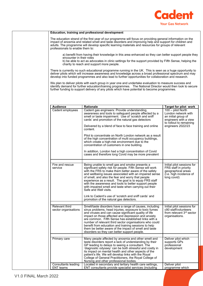

| <b>Education, training and professional development</b>                                                                                                                                                                                                                                                                                                          |                                                                                                                                                                                                                                                                                                                                                                                                                                                                                                                       |                                                                                                                                                                          |  |  |
|------------------------------------------------------------------------------------------------------------------------------------------------------------------------------------------------------------------------------------------------------------------------------------------------------------------------------------------------------------------|-----------------------------------------------------------------------------------------------------------------------------------------------------------------------------------------------------------------------------------------------------------------------------------------------------------------------------------------------------------------------------------------------------------------------------------------------------------------------------------------------------------------------|--------------------------------------------------------------------------------------------------------------------------------------------------------------------------|--|--|
| The education strand of the first year of our programme will focus on providing general information on the<br>impact of anosmia and related smell and taste disorders and improving help and support for children and<br>adults. The programme will develop specific learning materials and resources for groups of relevant<br>professionals to enable them to: |                                                                                                                                                                                                                                                                                                                                                                                                                                                                                                                       |                                                                                                                                                                          |  |  |
| encounter in their roles                                                                                                                                                                                                                                                                                                                                         | a) benefit from having their knowledge in this area enhanced so they can better support people they<br>b) be able to act as advocates in clinic settings for the support provided by Fifth Sense, helping the<br>charity to reach and support more people.                                                                                                                                                                                                                                                            |                                                                                                                                                                          |  |  |
|                                                                                                                                                                                                                                                                                                                                                                  | There is currently no such educational programme running in the UK. This is seen as a huge opportunity to<br>deliver pilots which will increase awareness and knowledge across a broad professional spectrum and may<br>develop into funded programmes and also lead to further opportunities for collaboration and research.                                                                                                                                                                                         |                                                                                                                                                                          |  |  |
|                                                                                                                                                                                                                                                                                                                                                                  | We plan to deliver pilots with each group in year one and undertake evaluation to measure success and<br>identify demand for further education/training programmes. The National Director would then look to secure<br>further funding to support delivery of any pilots which have potential to become programmes.                                                                                                                                                                                                   |                                                                                                                                                                          |  |  |
|                                                                                                                                                                                                                                                                                                                                                                  |                                                                                                                                                                                                                                                                                                                                                                                                                                                                                                                       |                                                                                                                                                                          |  |  |
| <b>Audience</b><br>Cadent employees                                                                                                                                                                                                                                                                                                                              | <b>Rationale</b><br>Cadent gas engineers: Provide understanding,<br>awareness and tools to safeguard people affected by a<br>smell or taste impairment. Use of 'scratch and sniff<br>cards' and promotion of the natural gas detectors<br>Delivered by a blend of face to face training and online<br>content.                                                                                                                                                                                                        | <b>Target for pilot work</b><br>100 - pilot North<br>London network with<br>an initial group of<br>engineers with a view<br>to rollout to remaining<br>engineers 2022/23 |  |  |
|                                                                                                                                                                                                                                                                                                                                                                  | Pilot to concentrate on North London network as a result<br>of the high concentration of multi occupancy buildings,<br>which create a high-risk environment due to the<br>concentration of customers in one building.<br>In addition, London had a high concentration of Covid<br>cases and therefore long Covid may be more prevalent                                                                                                                                                                                |                                                                                                                                                                          |  |  |
|                                                                                                                                                                                                                                                                                                                                                                  |                                                                                                                                                                                                                                                                                                                                                                                                                                                                                                                       |                                                                                                                                                                          |  |  |
| Fire and rescue<br>service                                                                                                                                                                                                                                                                                                                                       | Being unable to smell gas and smoke presents a<br>significant safety risk for people. Fifth Sense will work<br>with the FRS to make them better aware of the safety<br>and wellbeing issues associated with an impaired sense<br>of smell, and also the fear and worry that people<br>experience as a result. The goal is to equip FRS staff<br>with the awareness and tools to better support people<br>with impaired smell and taste when carrying out their<br>Safe and Well visits.                               | Initial pilot sessions for<br>FRS staff in priority<br>geographical areas<br>(I.e. high incidence of<br>long covid)                                                      |  |  |
|                                                                                                                                                                                                                                                                                                                                                                  | Link to Cadent's use of 'scratch and sniff cards' and<br>promotion of the natural gas detectors.                                                                                                                                                                                                                                                                                                                                                                                                                      |                                                                                                                                                                          |  |  |
| Relevant third<br>sector organisations                                                                                                                                                                                                                                                                                                                           | Smell/taste disorders have a range of causes, including<br>sinus problems, head injuries, exposure to toxic fumes<br>and viruses and can cause significant quality of life<br>impact on those affected and depression and anxiety<br>are common. Fifth Sense has established links with a<br>number of relevant third sector organisations who could<br>benefit from education and training sessions to help<br>them be better aware of the impact of smell and taste<br>disorders so they can better support people. | Initial pilot sessions for<br>c90 staff/volunteers<br>from relevant 3 <sup>rd</sup> sector<br>organisations.                                                             |  |  |
| Primary care                                                                                                                                                                                                                                                                                                                                                     | Many people affected by anosmia and other smell and<br>taste disorders report a lack of understanding by their<br>GP leading to delays to seeing a consultant. The<br>'diagnostic odyssey' can be both stressful and costly in<br>its impact on mental health and other aspects of the<br>patient's life. We will develop links with the Royal                                                                                                                                                                        | Deliver pilot which<br>supports GPs<br>professional<br>development                                                                                                       |  |  |
|                                                                                                                                                                                                                                                                                                                                                                  | College of General Practitioners, the Royal College of<br>Nursing and other professional bodies.                                                                                                                                                                                                                                                                                                                                                                                                                      |                                                                                                                                                                          |  |  |
| <b>Consultants leading</b><br><b>ENT</b> teams                                                                                                                                                                                                                                                                                                                   | Located in secondary and tertiary health care settings,<br>ENT consultants provide specialist services (including                                                                                                                                                                                                                                                                                                                                                                                                     | Deliver pilot<br>programme which                                                                                                                                         |  |  |
|                                                                                                                                                                                                                                                                                                                                                                  |                                                                                                                                                                                                                                                                                                                                                                                                                                                                                                                       |                                                                                                                                                                          |  |  |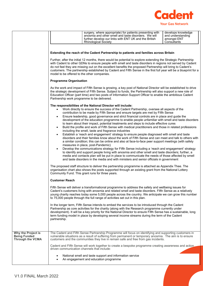

|                                                                      |                                                                                                                                                                                                                                                                                                                                                                                                                                                                                                                                                                                                                                                                           | surgery, where appropriate) for patients presenting with<br>anosmia and other smell and taste disorders. We will<br>further develop our links with ENT UK and the British<br><b>Rhinological Society</b>                                                                                                                                                                                                                                                                                                                                                                                                                                    | develops knowledge<br>and understanding<br>amongst ENT<br>Consultants |  |  |  |
|----------------------------------------------------------------------|---------------------------------------------------------------------------------------------------------------------------------------------------------------------------------------------------------------------------------------------------------------------------------------------------------------------------------------------------------------------------------------------------------------------------------------------------------------------------------------------------------------------------------------------------------------------------------------------------------------------------------------------------------------------------|---------------------------------------------------------------------------------------------------------------------------------------------------------------------------------------------------------------------------------------------------------------------------------------------------------------------------------------------------------------------------------------------------------------------------------------------------------------------------------------------------------------------------------------------------------------------------------------------------------------------------------------------|-----------------------------------------------------------------------|--|--|--|
|                                                                      |                                                                                                                                                                                                                                                                                                                                                                                                                                                                                                                                                                                                                                                                           |                                                                                                                                                                                                                                                                                                                                                                                                                                                                                                                                                                                                                                             |                                                                       |  |  |  |
|                                                                      |                                                                                                                                                                                                                                                                                                                                                                                                                                                                                                                                                                                                                                                                           | Extending the reach of the Cadent Partnership to patients and families across Britain                                                                                                                                                                                                                                                                                                                                                                                                                                                                                                                                                       |                                                                       |  |  |  |
|                                                                      | model to be offered to the other companies.                                                                                                                                                                                                                                                                                                                                                                                                                                                                                                                                                                                                                               | Further, after the initial 12 months, there would be potential to explore extending the Strategic Partnership<br>with Cadent to other GDNs to ensure people with smell and taste disorders in regions not served by Cadent<br>do not feel they are missing out on the excellent benefits the proposed Partnership will bring to Cadent's<br>customers. The partnership established by Cadent and Fifth Sense in the first full year will be a blueprint for a                                                                                                                                                                               |                                                                       |  |  |  |
|                                                                      | <b>Programme Organisation</b>                                                                                                                                                                                                                                                                                                                                                                                                                                                                                                                                                                                                                                             |                                                                                                                                                                                                                                                                                                                                                                                                                                                                                                                                                                                                                                             |                                                                       |  |  |  |
|                                                                      | As the work and impact of Fifth Sense is growing, a key post of National Director will be established to drive<br>the strategic development of Fifth Sense. Subject to funds, the Partnership will also support a new role of<br>Education Officer (part time) and two posts of Information Support Officer to enable the ambitious Cadent<br>Partnership work programme to be delivered.                                                                                                                                                                                                                                                                                 |                                                                                                                                                                                                                                                                                                                                                                                                                                                                                                                                                                                                                                             |                                                                       |  |  |  |
|                                                                      |                                                                                                                                                                                                                                                                                                                                                                                                                                                                                                                                                                                                                                                                           | The responsibilities of the National Director will include:                                                                                                                                                                                                                                                                                                                                                                                                                                                                                                                                                                                 |                                                                       |  |  |  |
|                                                                      | $\bullet$                                                                                                                                                                                                                                                                                                                                                                                                                                                                                                                                                                                                                                                                 | Work directly to ensure the success of the Cadent Partnership, oversee all aspects of the<br>contribution to be made by Fifth Sense and ensure targets are met by Fifth Sense<br>Ensure leadership, good governance and strict financial controls are in place and guide the<br>development of the education programme to enable people unfamiliar with smell and taste disorders<br>to learn about their impact, potential treatments and steps to include effective cures<br>Build the profile and work of Fifth Sense with medical practitioners and those in related professions<br>including the smell, taste and fragrance industries |                                                                       |  |  |  |
|                                                                      | Establish a 'reach and engagement' strategy to ensure people diagnosed with smell and taste<br>disorders and their families know about the work of Fifth Sense and can meet and talk to others with<br>a similar condition; this can be online and also at face-to-face peer support meetings (with safety<br>measures in place, post-Pandemic)<br>Develop the communications strategy for Fifth Sense including a 'reach and engagement' strategy<br>$\bullet$<br>to identify and support people living with anosmia and other smell and taste disorders; further, a<br>media and contacts plan will be put in place to communicate the needs of those affected by smell |                                                                                                                                                                                                                                                                                                                                                                                                                                                                                                                                                                                                                                             |                                                                       |  |  |  |
|                                                                      | and taste disorders in the media and with ministers and senior officials in government<br>The proposed staff structure to deliver the partnership programme is attached as Appendix Thee. The<br>organisation chart also shows the posts supported through an existing grant from the National Lottery<br>Community Fund. This grant runs for three years.                                                                                                                                                                                                                                                                                                                |                                                                                                                                                                                                                                                                                                                                                                                                                                                                                                                                                                                                                                             |                                                                       |  |  |  |
|                                                                      |                                                                                                                                                                                                                                                                                                                                                                                                                                                                                                                                                                                                                                                                           |                                                                                                                                                                                                                                                                                                                                                                                                                                                                                                                                                                                                                                             |                                                                       |  |  |  |
|                                                                      | <b>Customer Reach</b>                                                                                                                                                                                                                                                                                                                                                                                                                                                                                                                                                                                                                                                     |                                                                                                                                                                                                                                                                                                                                                                                                                                                                                                                                                                                                                                             |                                                                       |  |  |  |
|                                                                      | Fifth Sense will deliver a transformational programme to address the safety and wellbeing issues for<br>Cadent's customers living with anosmia and related smell and taste disorders. Fifth Sense as a relatively<br>young charity reaches today some 5,000 people across the country. We anticipate we can grow this number<br>to 75,000 people through the full range of activities set out in this plan.                                                                                                                                                                                                                                                               |                                                                                                                                                                                                                                                                                                                                                                                                                                                                                                                                                                                                                                             |                                                                       |  |  |  |
|                                                                      | partnership.                                                                                                                                                                                                                                                                                                                                                                                                                                                                                                                                                                                                                                                              | In the longer term, Fifth Sense intends to embed the services to be introduced through the Cadent<br>Partnership as core activities for the charity (along with the Research programme currently under<br>development). It will be a key priority for the National Director to ensure Fifth Sense has a sustainable, long<br>term funding model in place by developing several income streams during the term of the Cadent                                                                                                                                                                                                                 |                                                                       |  |  |  |
|                                                                      |                                                                                                                                                                                                                                                                                                                                                                                                                                                                                                                                                                                                                                                                           |                                                                                                                                                                                                                                                                                                                                                                                                                                                                                                                                                                                                                                             |                                                                       |  |  |  |
| Why the Project is<br><b>Being Funded</b><br><b>Through the VCMA</b> |                                                                                                                                                                                                                                                                                                                                                                                                                                                                                                                                                                                                                                                                           | The Cadent and Fifth Sense Partnership Programme will focus on identifying and supporting customers in<br>vulnerable situations as a result of suffering from permanent or temporary anosmia. The aim is to ensure<br>customers and the communities they live in remain safe and free from gas incidents.                                                                                                                                                                                                                                                                                                                                   |                                                                       |  |  |  |
|                                                                      | driven communication channels that include:                                                                                                                                                                                                                                                                                                                                                                                                                                                                                                                                                                                                                               | Cadent and Fifth Sense will work together to create a bespoke programme creating awareness and action                                                                                                                                                                                                                                                                                                                                                                                                                                                                                                                                       |                                                                       |  |  |  |
|                                                                      |                                                                                                                                                                                                                                                                                                                                                                                                                                                                                                                                                                                                                                                                           | National smell and taste support and information service                                                                                                                                                                                                                                                                                                                                                                                                                                                                                                                                                                                    |                                                                       |  |  |  |
|                                                                      |                                                                                                                                                                                                                                                                                                                                                                                                                                                                                                                                                                                                                                                                           | An engagement and education programme                                                                                                                                                                                                                                                                                                                                                                                                                                                                                                                                                                                                       |                                                                       |  |  |  |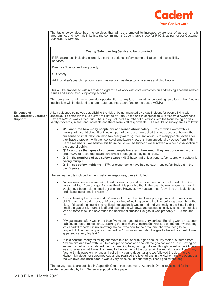

ade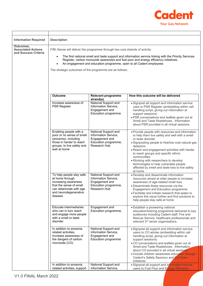

| <b>Information Required</b>                                    | <b>Description</b>                                                                                                                                                                       |                                                                                                                          |                                                                                                                                                                                                                                                                                                                                                                                                                                                  |  |  |  |
|----------------------------------------------------------------|------------------------------------------------------------------------------------------------------------------------------------------------------------------------------------------|--------------------------------------------------------------------------------------------------------------------------|--------------------------------------------------------------------------------------------------------------------------------------------------------------------------------------------------------------------------------------------------------------------------------------------------------------------------------------------------------------------------------------------------------------------------------------------------|--|--|--|
| Outcomes,<br><b>Associated Actions</b><br>and Success Criteria | Fifth Sense will deliver the programme through two core strands of activity:<br>The strategic outcomes of the programme are as follows:                                                  | An engagement and education programme, open to all Cadent employees                                                      | The first national smell and taste support and information service linking with the Priority Services<br>Register, carbon monoxide awareness and fuel poor and energy efficiency initiatives.                                                                                                                                                                                                                                                    |  |  |  |
|                                                                | <b>Outcome</b>                                                                                                                                                                           | <b>Relevant programme</b><br>strand(s)                                                                                   | How this outcome will be delivered                                                                                                                                                                                                                                                                                                                                                                                                               |  |  |  |
|                                                                | Increase awareness of<br><b>PSR Register</b>                                                                                                                                             | National Support and<br>Information Service,<br>Engagement and<br>Education programme                                    | · Signpost all support and information service<br>uses to PSR Register (embedding within call<br>handling script, giving out information at<br>support sessions)<br>· PSR conversations and leaflets given out at<br>Smell and Taste Roadshows. Information<br>about PSR provided in all virtual sessions                                                                                                                                        |  |  |  |
|                                                                | Enabling people with a<br>poor or no sense of smell<br>(anosmia), including<br>those in harder to reach<br>groups, to live safely and<br>well at home                                    | National Support and<br>Information Service,<br>Engagement and<br>Education programme,<br>Research Hub                   | • Provide people with resources and information<br>to help them live safely and well with a smell<br>or taste disorder<br>· Signposting people to free/low cost natural gas<br>detectors<br>. Reach and engagement activities with harder<br>to reach groups and specific ethnic<br>communities<br>. Working with researchers to develop<br>technologies to help vulnerable people<br>affected by smell and taste loss to live safely<br>at home |  |  |  |
|                                                                | To help people stay safe<br>at home through<br>increasing awareness<br>that the sense of smell<br>can deteriorate with age<br>and neurodegenerative<br>disease<br>Educate intermediaries | National Support and<br>Information Service,<br>Engagement and<br>Education programme,<br>Research Hub<br>Engagement and | · Develop and disseminate information<br>resources aimed at older people to increase<br>awareness of age-related smell loss<br>• Disseminate these resources via the<br>Engagement and Education programme<br>• Facilitate and initiate research that seeks to<br>explore this issue further and find solutions to<br>help people stay safe at home<br>• Establish a pioneering national                                                         |  |  |  |
|                                                                | who can in turn reach<br>and engage more people<br>with a smell or taste<br>disorder                                                                                                     | Education programme,                                                                                                     | education/training programme delivered to key<br>audiences including Cadent staff, Fire and<br>Rescue Service, healthcare professionals and<br>relevant 3 <sup>rd</sup> sector organisations                                                                                                                                                                                                                                                     |  |  |  |
|                                                                | In addition to anosmia<br>related activities,<br>Increase awareness of<br>the dangers of carbon<br>monoxide (CO)                                                                         | National Support and<br>Information Service,<br>Engagement and<br>Education programme                                    | · Signpost all support and information service<br>users to CO advise (embedding within call<br>handling script, giving out information at<br>support sessions)<br>. CO conversations and leaflets given out at<br>Smell and Taste Roadshows. Information<br>about CO provided in all virtual sessions<br>. Include children awareness education through<br>Cadent's Safety Seymour and CO Crew<br>initiatives                                    |  |  |  |
|                                                                | In addition to anosmia<br>related activities, support                                                                                                                                    | National Support and<br>Information Service,                                                                             | · Signpost all support and information service<br>users to Fuel Poor and Energy Efficiency                                                                                                                                                                                                                                                                                                                                                       |  |  |  |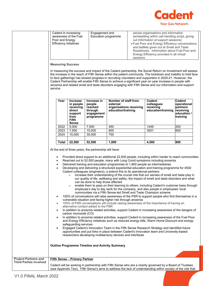

|                                                                                                                                                                                                                                                                                                                                                                                                                                                                                                                                                                                                                                                                                                                                                                                                                                                                                                                                                                                                                                                                                                                                                                                                                                                                                                                                                                                                                                                                                                                                                                                                                                                                                                                                                                                                                                                                                                                                                                                                                          | Cadent in increasing<br>awareness of the Fuel<br>Poor and Energy<br><b>Efficiency initiatives</b><br><b>Measuring Success</b><br>service.<br>Year<br><b>Increase</b><br>people<br>in people<br>reached<br>receiving<br>direct<br>through<br>support<br>from<br><b>Fifth</b><br><b>Sense</b> |        | Engagement and<br>Education programme  |                                                                                          | advise organisations and information<br>(embedding within call handling script, giving<br>out information at support sessions)<br>• Fuel Poor and Energy Efficiency conversations<br>and leaflets given out at Smell and Taste<br>Roadshows. Information about Fuel Poor and<br>Energy Efficiency provided in all virtual<br>sessions<br>In measuring the success and impact of the Cadent partnership, the Social Return on Investment will assess<br>the increase in the reach of Fifth Sense within the patient community. The lockdown and inability to hold face<br>to face gatherings has slowed progress in recruiting volunteers and supporters in 2020-21. However, the<br>Cadent Partnership will enable Fifth Sense to achieve a significant year on year increase in people with<br>anosmia and related smell and taste disorders engaging with Fifth Sense and our information and support |                                                         |                                                                                  |
|--------------------------------------------------------------------------------------------------------------------------------------------------------------------------------------------------------------------------------------------------------------------------------------------------------------------------------------------------------------------------------------------------------------------------------------------------------------------------------------------------------------------------------------------------------------------------------------------------------------------------------------------------------------------------------------------------------------------------------------------------------------------------------------------------------------------------------------------------------------------------------------------------------------------------------------------------------------------------------------------------------------------------------------------------------------------------------------------------------------------------------------------------------------------------------------------------------------------------------------------------------------------------------------------------------------------------------------------------------------------------------------------------------------------------------------------------------------------------------------------------------------------------------------------------------------------------------------------------------------------------------------------------------------------------------------------------------------------------------------------------------------------------------------------------------------------------------------------------------------------------------------------------------------------------------------------------------------------------------------------------------------------------|---------------------------------------------------------------------------------------------------------------------------------------------------------------------------------------------------------------------------------------------------------------------------------------------|--------|----------------------------------------|------------------------------------------------------------------------------------------|---------------------------------------------------------------------------------------------------------------------------------------------------------------------------------------------------------------------------------------------------------------------------------------------------------------------------------------------------------------------------------------------------------------------------------------------------------------------------------------------------------------------------------------------------------------------------------------------------------------------------------------------------------------------------------------------------------------------------------------------------------------------------------------------------------------------------------------------------------------------------------------------------------|---------------------------------------------------------|----------------------------------------------------------------------------------|
|                                                                                                                                                                                                                                                                                                                                                                                                                                                                                                                                                                                                                                                                                                                                                                                                                                                                                                                                                                                                                                                                                                                                                                                                                                                                                                                                                                                                                                                                                                                                                                                                                                                                                                                                                                                                                                                                                                                                                                                                                          |                                                                                                                                                                                                                                                                                             |        | Increase in<br>engagement<br>programme | <b>Number of staff from</b><br>external<br>organisations receiving<br>education/training |                                                                                                                                                                                                                                                                                                                                                                                                                                                                                                                                                                                                                                                                                                                                                                                                                                                                                                         | Cadent<br>colleagues<br>receiving<br>education/training | <b>Cadent</b><br>operational<br>partners<br>receiving<br>education /<br>training |
|                                                                                                                                                                                                                                                                                                                                                                                                                                                                                                                                                                                                                                                                                                                                                                                                                                                                                                                                                                                                                                                                                                                                                                                                                                                                                                                                                                                                                                                                                                                                                                                                                                                                                                                                                                                                                                                                                                                                                                                                                          | 2022                                                                                                                                                                                                                                                                                        | 5,000  | 7,500                                  | 450                                                                                      |                                                                                                                                                                                                                                                                                                                                                                                                                                                                                                                                                                                                                                                                                                                                                                                                                                                                                                         | 1449                                                    | 200                                                                              |
|                                                                                                                                                                                                                                                                                                                                                                                                                                                                                                                                                                                                                                                                                                                                                                                                                                                                                                                                                                                                                                                                                                                                                                                                                                                                                                                                                                                                                                                                                                                                                                                                                                                                                                                                                                                                                                                                                                                                                                                                                          | 2023                                                                                                                                                                                                                                                                                        | 7,500  | 15,000                                 | 600                                                                                      |                                                                                                                                                                                                                                                                                                                                                                                                                                                                                                                                                                                                                                                                                                                                                                                                                                                                                                         | 3001                                                    | 600                                                                              |
|                                                                                                                                                                                                                                                                                                                                                                                                                                                                                                                                                                                                                                                                                                                                                                                                                                                                                                                                                                                                                                                                                                                                                                                                                                                                                                                                                                                                                                                                                                                                                                                                                                                                                                                                                                                                                                                                                                                                                                                                                          | 2024                                                                                                                                                                                                                                                                                        | 10,000 | 30,000                                 | 750                                                                                      |                                                                                                                                                                                                                                                                                                                                                                                                                                                                                                                                                                                                                                                                                                                                                                                                                                                                                                         |                                                         |                                                                                  |
|                                                                                                                                                                                                                                                                                                                                                                                                                                                                                                                                                                                                                                                                                                                                                                                                                                                                                                                                                                                                                                                                                                                                                                                                                                                                                                                                                                                                                                                                                                                                                                                                                                                                                                                                                                                                                                                                                                                                                                                                                          | Total                                                                                                                                                                                                                                                                                       | 22,500 | 52,500                                 | 1,800                                                                                    |                                                                                                                                                                                                                                                                                                                                                                                                                                                                                                                                                                                                                                                                                                                                                                                                                                                                                                         | 4,500                                                   | 800                                                                              |
| Provided direct support to an additional 22,500 people, including within harder to reach communities<br>٠<br>Reached out to 52,500 people, many with Long Covid symptoms including anosmia<br>$\bullet$<br>Delivered training and education programmes to 1,800 people as intermediaries<br>$\bullet$<br>Developing and delivering a structured experiential education and training programme for 4500<br>$\bullet$<br>Cadent colleagues (engineers), a extend this to its operational partners:<br>increase their understanding of the crucial role that our senses of smell and taste play in<br>$\circ$<br>our quality of life, wellbeing and safety, the impact of smell and taste disorders and what<br>can be done to help those affected<br>enable them to pass on their learning to others, including Cadent's customer base through<br>employee's day to day work for the company, and also people in employees' local<br>communities via a Fifth Sense-led Smell and Taste Champion scheme<br>100% of conversations will raise awareness of the PSR to support people who find themselves in a<br>vulnerable situation and facing higher risk through anosmia<br>100% of PSR conversations will include raising awareness of the importance of having an<br>$\bullet$<br>alternative contact added to the PSR<br>In addition to anosmia related activities, support Cadent in increasing awareness of the dangers of<br>carbon monoxide (CO)<br>In addition to anosmia related activities, support Cadent in increasing awareness of the Fuel Poor<br>$\bullet$<br>and Energy Efficiency initiatives such as reduced energy bills, Warm Home Discount and energy<br>safeguarding services<br>Engaged Cadent's Innovation Team in the Fifth Sense Research Strategy and identified future<br>opportunities and put links in place between Cadent's Innovation team and University-based<br>researchers developing multisensory devices and interfaces<br><b>Outline Programme Timeline and Activity Summary</b> |                                                                                                                                                                                                                                                                                             |        |                                        |                                                                                          |                                                                                                                                                                                                                                                                                                                                                                                                                                                                                                                                                                                                                                                                                                                                                                                                                                                                                                         |                                                         |                                                                                  |
|                                                                                                                                                                                                                                                                                                                                                                                                                                                                                                                                                                                                                                                                                                                                                                                                                                                                                                                                                                                                                                                                                                                                                                                                                                                                                                                                                                                                                                                                                                                                                                                                                                                                                                                                                                                                                                                                                                                                                                                                                          |                                                                                                                                                                                                                                                                                             |        |                                        |                                                                                          |                                                                                                                                                                                                                                                                                                                                                                                                                                                                                                                                                                                                                                                                                                                                                                                                                                                                                                         |                                                         |                                                                                  |
|                                                                                                                                                                                                                                                                                                                                                                                                                                                                                                                                                                                                                                                                                                                                                                                                                                                                                                                                                                                                                                                                                                                                                                                                                                                                                                                                                                                                                                                                                                                                                                                                                                                                                                                                                                                                                                                                                                                                                                                                                          | <b>Project Partners and</b><br><b>Fifth Sense - Primary Partner</b><br><b>Third Parties Involved</b><br>Cadent will be working in partnership with Fifth Sense who are a charity governed by a Board of Trustees                                                                            |        |                                        |                                                                                          |                                                                                                                                                                                                                                                                                                                                                                                                                                                                                                                                                                                                                                                                                                                                                                                                                                                                                                         |                                                         |                                                                                  |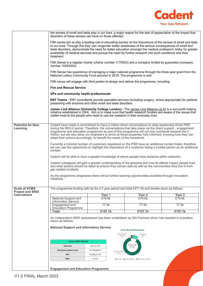

|                                                                                                                                                                                                                                                                                                                                                                                                                                                                                                                                                           | disorders of these senses can have on those affected.                                                                                                                                                                                                                                                                                                                                                                                                               |                                                                                               |                                                |                  | the senses of smell and taste play in our lives, a major reason for the lack of appreciation of the impact that                                                                                                               |  |
|-----------------------------------------------------------------------------------------------------------------------------------------------------------------------------------------------------------------------------------------------------------------------------------------------------------------------------------------------------------------------------------------------------------------------------------------------------------------------------------------------------------------------------------------------------------|---------------------------------------------------------------------------------------------------------------------------------------------------------------------------------------------------------------------------------------------------------------------------------------------------------------------------------------------------------------------------------------------------------------------------------------------------------------------|-----------------------------------------------------------------------------------------------|------------------------------------------------|------------------|-------------------------------------------------------------------------------------------------------------------------------------------------------------------------------------------------------------------------------|--|
|                                                                                                                                                                                                                                                                                                                                                                                                                                                                                                                                                           | Fifth sense aim to play a leading role in educating society on the importance of the senses of smell and taste<br>to our lives. Through this they can: engender better awareness of the serious consequences of smell and<br>taste disorders; demonstrate the need for better education amongst the medical profession; lobby for greater<br>availability of medical services and pursue the need for further research into such conditions and their<br>treatment. |                                                                                               |                                                |                  |                                                                                                                                                                                                                               |  |
| Fifth Sense is a register charity (charity number 1175553) and a company limited by guarantee (company<br>number 10255303)                                                                                                                                                                                                                                                                                                                                                                                                                                |                                                                                                                                                                                                                                                                                                                                                                                                                                                                     |                                                                                               |                                                |                  |                                                                                                                                                                                                                               |  |
|                                                                                                                                                                                                                                                                                                                                                                                                                                                                                                                                                           | National Lottery Community Fund secured in 2019. The programme is well                                                                                                                                                                                                                                                                                                                                                                                              |                                                                                               |                                                |                  | Fifth Sense has experience of managing a major national programme through the three-year grant from the                                                                                                                       |  |
|                                                                                                                                                                                                                                                                                                                                                                                                                                                                                                                                                           | Fifth sense will engage with third parties to design and deliver the programme, including:                                                                                                                                                                                                                                                                                                                                                                          |                                                                                               |                                                |                  |                                                                                                                                                                                                                               |  |
|                                                                                                                                                                                                                                                                                                                                                                                                                                                                                                                                                           | <b>Fire and Rescue Service</b>                                                                                                                                                                                                                                                                                                                                                                                                                                      |                                                                                               |                                                |                  |                                                                                                                                                                                                                               |  |
|                                                                                                                                                                                                                                                                                                                                                                                                                                                                                                                                                           | GPs and community health professionals                                                                                                                                                                                                                                                                                                                                                                                                                              |                                                                                               |                                                |                  |                                                                                                                                                                                                                               |  |
|                                                                                                                                                                                                                                                                                                                                                                                                                                                                                                                                                           | presenting with anosmia and other smell and taste disorders.                                                                                                                                                                                                                                                                                                                                                                                                        |                                                                                               |                                                |                  | ENT Teams - ENT consultants provide specialist services (including surgery, where appropriate) for patients                                                                                                                   |  |
|                                                                                                                                                                                                                                                                                                                                                                                                                                                                                                                                                           | matter most to the people who need to use the research in their everyday lives.                                                                                                                                                                                                                                                                                                                                                                                     |                                                                                               |                                                |                  | James Lind Alliance (University College London) - The James Lind Alliance (JLA) is a non-profit making<br>initiative established in 2004. Aim is to make sure that health research funders are aware of the issues that       |  |
| <b>Potential for New</b><br>Cadent have made a commitment to have 2 million direct conversations to raise awareness of the PSR<br>during the RIIO-2 period. Therefore, the conversations that take place via the direct support, engagement<br>Learning<br>programme and education programme as part of this programme will not only contribute towards the 2<br>million, but will also allow our engineers to arrive at those properties fully informed, knowing how they can<br>adapt their actions accordingly, to benefit the needs of the household. |                                                                                                                                                                                                                                                                                                                                                                                                                                                                     |                                                                                               |                                                |                  |                                                                                                                                                                                                                               |  |
|                                                                                                                                                                                                                                                                                                                                                                                                                                                                                                                                                           | contact.                                                                                                                                                                                                                                                                                                                                                                                                                                                            |                                                                                               |                                                |                  | Currently a minimal number of customers registered on the PSR have an additional contact listed, therefore<br>we can use this opportunity to highlight the importance of a customer listing a trusted person as an additional |  |
|                                                                                                                                                                                                                                                                                                                                                                                                                                                                                                                                                           |                                                                                                                                                                                                                                                                                                                                                                                                                                                                     | Cadent will be able to have a greater knowledge of where people have anosmia within networks. |                                                |                  |                                                                                                                                                                                                                               |  |
| Cadent colleagues will gain a greater understanding of the anosmia and how its effects impact people lives<br>and what actions should be taken to ensure they remain safe as well as the communities they live in from<br>gas related incidents.                                                                                                                                                                                                                                                                                                          |                                                                                                                                                                                                                                                                                                                                                                                                                                                                     |                                                                                               |                                                |                  |                                                                                                                                                                                                                               |  |
|                                                                                                                                                                                                                                                                                                                                                                                                                                                                                                                                                           | As the programme progresses there will be further learning opportunities available through innovation<br>initiatives                                                                                                                                                                                                                                                                                                                                                |                                                                                               |                                                |                  |                                                                                                                                                                                                                               |  |
| <b>Scale of VCMA</b>                                                                                                                                                                                                                                                                                                                                                                                                                                                                                                                                      | The programme funding with be for a 3 year period and total £471.3k and breaks down as follows:                                                                                                                                                                                                                                                                                                                                                                     |                                                                                               |                                                |                  |                                                                                                                                                                                                                               |  |
| <b>Project and SROI</b><br><b>Calculations</b>                                                                                                                                                                                                                                                                                                                                                                                                                                                                                                            |                                                                                                                                                                                                                                                                                                                                                                                                                                                                     | Year 1                                                                                        |                                                | Year 2           | Year <sub>3</sub>                                                                                                                                                                                                             |  |
|                                                                                                                                                                                                                                                                                                                                                                                                                                                                                                                                                           | National Support and                                                                                                                                                                                                                                                                                                                                                                                                                                                | £79.6k                                                                                        |                                                | £79.6k           | £79.6k                                                                                                                                                                                                                        |  |
|                                                                                                                                                                                                                                                                                                                                                                                                                                                                                                                                                           | <b>Information Service</b><br>Engagement and                                                                                                                                                                                                                                                                                                                                                                                                                        | 77.5k                                                                                         |                                                | 77.5k            | 77.5k                                                                                                                                                                                                                         |  |
|                                                                                                                                                                                                                                                                                                                                                                                                                                                                                                                                                           | <b>Education Programme</b>                                                                                                                                                                                                                                                                                                                                                                                                                                          |                                                                                               |                                                |                  |                                                                                                                                                                                                                               |  |
|                                                                                                                                                                                                                                                                                                                                                                                                                                                                                                                                                           | £157.1k<br>£157.1k<br>£157.1k<br>Total                                                                                                                                                                                                                                                                                                                                                                                                                              |                                                                                               |                                                |                  |                                                                                                                                                                                                                               |  |
|                                                                                                                                                                                                                                                                                                                                                                                                                                                                                                                                                           | return as follows:                                                                                                                                                                                                                                                                                                                                                                                                                                                  |                                                                                               |                                                |                  | An independent SROI assessment has been undertaken by SIA Partners which has resulted in a positive                                                                                                                           |  |
|                                                                                                                                                                                                                                                                                                                                                                                                                                                                                                                                                           |                                                                                                                                                                                                                                                                                                                                                                                                                                                                     |                                                                                               |                                                |                  |                                                                                                                                                                                                                               |  |
| <b>National Support and Information Service</b><br>5-Year Benefit Breakdown                                                                                                                                                                                                                                                                                                                                                                                                                                                                               |                                                                                                                                                                                                                                                                                                                                                                                                                                                                     |                                                                                               |                                                |                  |                                                                                                                                                                                                                               |  |
|                                                                                                                                                                                                                                                                                                                                                                                                                                                                                                                                                           |                                                                                                                                                                                                                                                                                                                                                                                                                                                                     |                                                                                               | PSR & wider<br>services<br>3%                  | Financial<br>10% |                                                                                                                                                                                                                               |  |
|                                                                                                                                                                                                                                                                                                                                                                                                                                                                                                                                                           | 5-year SROI Results                                                                                                                                                                                                                                                                                                                                                                                                                                                 |                                                                                               |                                                |                  |                                                                                                                                                                                                                               |  |
|                                                                                                                                                                                                                                                                                                                                                                                                                                                                                                                                                           | <b>Total cost</b>                                                                                                                                                                                                                                                                                                                                                                                                                                                   | £377,417.07                                                                                   | £254.98 per<br>person                          |                  |                                                                                                                                                                                                                               |  |
|                                                                                                                                                                                                                                                                                                                                                                                                                                                                                                                                                           | Total gross present value                                                                                                                                                                                                                                                                                                                                                                                                                                           | £5,736,628.41                                                                                 | Health & Safety<br>87%                         |                  |                                                                                                                                                                                                                               |  |
|                                                                                                                                                                                                                                                                                                                                                                                                                                                                                                                                                           | <b>NPV</b>                                                                                                                                                                                                                                                                                                                                                                                                                                                          | £5,359,211.33                                                                                 |                                                |                  |                                                                                                                                                                                                                               |  |
|                                                                                                                                                                                                                                                                                                                                                                                                                                                                                                                                                           | <b>SROI</b>                                                                                                                                                                                                                                                                                                                                                                                                                                                         | £14.20                                                                                        | Financial Health & Safety PSR & wider services |                  |                                                                                                                                                                                                                               |  |
|                                                                                                                                                                                                                                                                                                                                                                                                                                                                                                                                                           |                                                                                                                                                                                                                                                                                                                                                                                                                                                                     |                                                                                               |                                                |                  |                                                                                                                                                                                                                               |  |
|                                                                                                                                                                                                                                                                                                                                                                                                                                                                                                                                                           | <b>Engagement and Education Programme</b>                                                                                                                                                                                                                                                                                                                                                                                                                           |                                                                                               |                                                |                  |                                                                                                                                                                                                                               |  |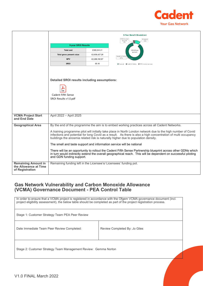

|                                                                        | 5-Year Benefit Breakdown                                                                                                                                                                                                                                                                                                                                                                                                                                                                                                                                                                                                    |                                              |                                                                  |  |  |
|------------------------------------------------------------------------|-----------------------------------------------------------------------------------------------------------------------------------------------------------------------------------------------------------------------------------------------------------------------------------------------------------------------------------------------------------------------------------------------------------------------------------------------------------------------------------------------------------------------------------------------------------------------------------------------------------------------------|----------------------------------------------|------------------------------------------------------------------|--|--|
|                                                                        | PSR & wider<br>Financial<br>services<br>10%<br>3%                                                                                                                                                                                                                                                                                                                                                                                                                                                                                                                                                                           |                                              |                                                                  |  |  |
|                                                                        | 5-year SROI Results                                                                                                                                                                                                                                                                                                                                                                                                                                                                                                                                                                                                         |                                              |                                                                  |  |  |
|                                                                        | <b>Total cost</b>                                                                                                                                                                                                                                                                                                                                                                                                                                                                                                                                                                                                           | £368,244.41                                  | £50,22 per<br>person                                             |  |  |
|                                                                        | Total gross present value                                                                                                                                                                                                                                                                                                                                                                                                                                                                                                                                                                                                   | £2,636,427.28                                | Health & Safety                                                  |  |  |
|                                                                        | <b>NPV</b>                                                                                                                                                                                                                                                                                                                                                                                                                                                                                                                                                                                                                  | £2,268,182.87                                | 87%                                                              |  |  |
|                                                                        | <b>SROI</b>                                                                                                                                                                                                                                                                                                                                                                                                                                                                                                                                                                                                                 | £6.16                                        | <b>■Financial ■Health &amp; Safety ■PSR &amp; wider services</b> |  |  |
| <b>VCMA Project Start</b>                                              | PDF<br><b>Cadent Fifth Sense</b><br>SROI Results v1.0.pdf<br>April 2022 - April 2025                                                                                                                                                                                                                                                                                                                                                                                                                                                                                                                                        | Detailed SROI results including assumptions: |                                                                  |  |  |
| and End Date                                                           |                                                                                                                                                                                                                                                                                                                                                                                                                                                                                                                                                                                                                             |                                              |                                                                  |  |  |
| <b>Geographical Area</b>                                               | By the end of the programme the aim is to embed working practices across all Cadent Networks.                                                                                                                                                                                                                                                                                                                                                                                                                                                                                                                               |                                              |                                                                  |  |  |
|                                                                        | A training programme pilot will initially take place in North London network due to the high number of Covid<br>infections and potential for long Covid as a result. As there is also a high concentration of multi occupancy<br>buildings the anosmia related risk is naturally higher due to population density.<br>The smell and taste support and information service will be national<br>There will be an opportunity to rollout the Cadent Fifth Sense Partnership blueprint across other GDNs which<br>in turn would indirectly extend the overall geographical reach. This will be dependent on successful piloting |                                              |                                                                  |  |  |
|                                                                        | and GDN funding support.                                                                                                                                                                                                                                                                                                                                                                                                                                                                                                                                                                                                    |                                              |                                                                  |  |  |
| <b>Remaining Amount in</b><br>the Allowance at Time<br>of Registration | Remaining funding left in the Licensee's/ Licensees' funding pot.                                                                                                                                                                                                                                                                                                                                                                                                                                                                                                                                                           |                                              |                                                                  |  |  |

# **Gas Network Vulnerability and Carbon Monoxide Allowance (VCMA) Governance Document - PEA Control Table**

| In order to ensure that a VCMA project is registered in accordance with the Ofgem VCMA governance document (incl.<br>project eligibility assessment), the below table should be completed as part of the project registration process. |                               |
|----------------------------------------------------------------------------------------------------------------------------------------------------------------------------------------------------------------------------------------|-------------------------------|
| Stage 1: Customer Strategy Team PEA Peer Review                                                                                                                                                                                        |                               |
| Date Immediate Team Peer Review Completed:                                                                                                                                                                                             | Review Completed By: Jo Giles |
| Stage 2: Customer Strategy Team Management Review: Gemma Norton                                                                                                                                                                        |                               |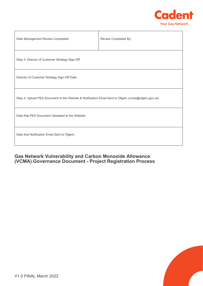

| Date Management Review Completed:                                                                 | Review Completed By: |
|---------------------------------------------------------------------------------------------------|----------------------|
| Step 3: Director of Customer Strategy Sign-Off                                                    |                      |
| Director of Customer Strategy Sign-Off Date:                                                      |                      |
| Step 4: Upload PEA Document to the Website & Notification Email Sent to Ofgem (vcma@ofgem.gov.uk) |                      |
| Date that PEA Document Uploaded to the Website:                                                   |                      |
| Date that Notification Email Sent to Ofgem:                                                       |                      |

# **Gas Network Vulnerability and Carbon Monoxide Allowance (VCMA) Governance Document - Project Registration Process**

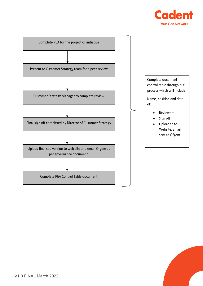



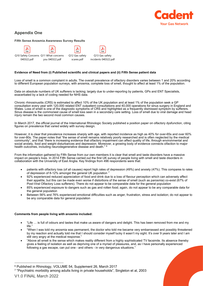

# **Appendix One**

#### **Fifth Sense Anosmia Awareness Survey Results**



Q10 Safety Concerns Q11 What concerns 040322.pdf you 040322.pdf



Q12 Gas safety scares.pdf



Q13 Gas safety incidents 040322.pdf

### **Evidence of Need from (i) Published scientific and clinical papers and (ii) Fifth Sense patient data**

Loss of smell is a common complaint in adults. The overall prevalence of olfactory disorders varies between 1 and 20% according to different European population surveys, with anosmia, complete loss of smell, thought to affect at least 1% of the population.

Data on absolute numbers of UK sufferers is lacking; largely due to under-reporting by patients, GPs and ENT Specialists, exacerbated by a lack of coding needed for NHS data.

Chronic rhinosinusitis (CRS) is estimated to affect 10% of the UK population and at least 1% of the population seek a GP consultation every year with 120,000 related ENT outpatient consultations and 40,000 operations for sinus surgery in England and Wales. Loss of smell is one of the diagnostic symptoms of CRS and highlighted as a frequently dismissed symptom by sufferers. Sinus disease is the commonest cause of smell loss seen in a secondary care setting. Loss of smell due to viral damage and head injury remain the two second most common causes.

In March 2017, the official journal of the International Rhinologic Society published a position paper on olfactory dysfunction, citing figures on prevalence that varied widely with survey design.

However, it is clear that prevalence increases sharply with age, with reported incidence as high as 40% for over-65s and over 60% for over-80s. The paper notes that "the sense of smell remains relatively poorly researched and is often neglected by the medical community", and that "there is increasing evidence that olfactory impairment can affect quality of life, through environmental and social anxiety, food and weight disturbances and depression. Moreover, a growing body of evidence connects olfaction to major health outcomes, including neurodegenerative disease and death." [6](#page-14-0)

From the information gathered by Fifth Sense from our own members it is clear that smell and taste disorders have a massive impact on people's lives. In 2014 Fifth Sense carried out the first UK survey of people living with smell and taste disorders in collaboration with the University of East Anglia. Key findings from 496 respondents were that:

- patients with olfactory loss (of all causes) report high rates of depression (49%) and anxiety (47%). This compares to rates of depression of 8-12% amongst the general UK population [7](#page-14-1)
- 92% experienced reduced appreciation of food and drink due to a loss of flavour perception which can adversely affect their appetite, but this can be made even worse if distortions of the sense of smell (such as parosmia) co-exist (67% of Post-Viral Olfactory Loss sufferers). There do not appear to be comparable data for the general population
- 85% experienced exposure to dangers such as gas and rotten food; again, do not appear to be any comparable data for the general population
- Between 56% and 76% experienced emotional difficulties such as anger, frustration, stress and isolation; do not appear to be any comparable data for general population

#### **Comments from people living with anosmia included:**

- "Life … is full of odours and tastes that make us aware of dangers and delight. This has been removed from me and my life."
- "When I was told my anosmia was permanent, the doctor who told me became very embarrassed and possibly threatened by my reaction and actually told me that I should consider myself lucky it wasn't my sight. It's over 9 years later and I am still very angry at the medical response."
- "Above all smell is the sense which makes reality different from a highly sophisticated TV facsimile. Its absence thereby gives a feeling of isolation as well as depriving one of a myriad of pleasures, and, as I have personally experienced following a gas escape, can put one - and others - in very dangerous situations."

<span id="page-14-0"></span><sup>6</sup> Published in Rhinology, VOLUME 54, Supplement 26, March 2017

<span id="page-14-1"></span><sup>7</sup> "Psychiatric morbidity among adults living in private households", Singleton et al, 2003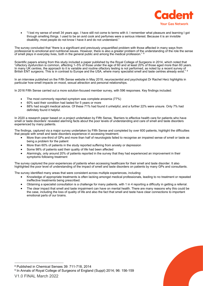

• "I lost my sense of smell 34 years ago. I have still not come to terms with it. I remember what pleasure and learning I got through smelling things. I used to be an avid cook and perfumes were a serious interest. Because it is an invisible disability, most people do not know I have it and do not understand."

The survey concluded that "there is a significant and previously unquantified problem with those affected in many ways from professional to emotional and nutritional issues. However, there is also a greater problem of the understanding of the role the sense of smell plays in everyday lives, both in the general public and among the medical profession." [8](#page-15-0)

Scientific papers arising from this study included a paper published by the Royal College of Surgeons in 2014, which noted that "olfactory dysfunction is common, affecting 1–5% of those under the age of 60 and at least 20% of those aged more than 60 years. In many UK centres, the approach to it is variable and routine olfactory testing is not performed, as noted by a recent survey of British ENT surgeons. This is in contrast to Europe and the USA, where many specialist smell and taste centres already exist." <sup>s</sup>

In an interview published on the Fifth Sense website in May 2018, neuroscientist and psychologist Dr Rachel Herz highlights in particular how smell impacts on mood, sexual attraction and personal relationships.

In 2016 Fifth Sense carried out a more solution-focused member survey, with 596 responses. Key findings included:

- The most commonly reported symptom was complete anosmia (77%)
- 60% said their condition had lasted for 5 years or more
- 88% had sought medical advice. Of these 71% had found it unhelpful, and a further 22% were unsure. Only 7% had definitely found it helpful.

In 2020 a research paper based on a project undertaken by Fifth Sense, 'Barriers to effective health care for patients who have smell or taste disorders' revealed alarming facts about the poor levels of understanding and care of smell and taste disorders experienced by many patients.

The findings, captured via a major survey undertaken by Fifth Sense and completed by over 600 patients, highlight the difficulties that people with smell and taste disorders experience in accessing treatment.

- More than one-third of GPs and more than half of neurologists failed to recognise an impaired sense of smell or taste as being a problem for the patient
- More than 60% of patients in the study reported suffering from anxiety or depression
- Some 98% of patients said their quality of life had been affected
- Alarmingly, only around 20% of patients reported in the survey that they had experienced an improvement in their symptoms following treatment

The survey captured the poor experiences of patients when accessing healthcare for their smell and taste disorder. It also highlighted the poor level of understanding of the impact of smell and taste disorders on patients by many GPs and consultants.

The survey identified many areas that were consistent across multiple experiences, including:

- Knowledge of appropriate treatments is often lacking amongst medical professionals, leading to no treatment or repeated ineffective treatments being prescribed.
- Obtaining a specialist consultation is a challenge for many patients, with 1 in 4 reporting a difficulty in getting a referral.
- The clear impact that smell and taste impairment can have on mental health. There are many reasons why this could be the case, including the loss of quality of life and also the fact that smell and taste have clear connections to important emotional parts of our brains.

<sup>8</sup> Published in Chemical Senses 39: 711-718, 2014

<span id="page-15-1"></span><span id="page-15-0"></span><sup>9</sup> In Annals of Royal College of Surgeons of England (Suppl) 2014; 96: 156-159

V1.0 FINAL March 2022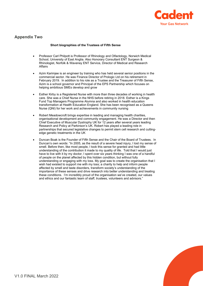

## **Appendix Two**

#### **Short biographies of the Trustees of Fifth Sense**

- Professor Carl Philpott is Professor of Rhinology and Olfactology, Norwich Medical School, University of East Anglia. Also Honorary Consultant ENT Surgeon & Rhinologist, Norfolk & Waveney ENT Service, Director of Medical and Research Affairs
- Azim Karimjee is an engineer by training who has held several senior positions in the commercial sector. He was Finance Director of Prologic Ltd on his retirement in February 2019. In addition to his role as a Trustee and the Treasurer of Fifth Sense, Azim is a school governor and Principal of the EPS Partnership which focuses on helping ambitious SMEs develop and grow
- Esther Kirby is a Registered Nurse with more than three decades of working in health care. She was a Chief Nurse in the NHS before retiring in 2018. Esther is a Kings Fund Top Managers Programme Alumna and also worked in health education transformation at Health Education England. She has been recognised as a Queens Nurse (QNI) for her work and achievements in community nursing
- Robert Meadowcroft brings expertise in leading and managing health charities, organisational development and community engagement. He was a Director and then Chief Executive of Muscular Dystrophy UK for 12 years after several years leading Research and Policy at Parkinson's UK. Robert has played a leading role in partnerships that secured legislative changes to permit stem cell research and cuttingedge genetic treatments in the UK
- Duncan Boak is the Founder of Fifth Sense and the Chair of the Board of Trustees. In Duncan's own words: "In 2005, as the result of a severe head injury, I lost my sense of smell. Before then, like most people, I took this sense for granted and had little understanding of the contribution it made to my quality of life. Told that I would just have to live with it by my doctor, I spent over six years thinking I was one of a handful of people on the planet affected by this hidden condition, but without fully understanding or engaging with my loss. My goal was to create the organisation that I wish had existed to support me with my loss; a charity to help and inform people affected by smell and taste disorders, transform society's understanding of the importance of these senses and drive research into better understanding and treating these conditions. I'm incredibly proud of the organisation we've created, our values and ethics and our fantastic team of staff, trustees, volunteers and advisors."